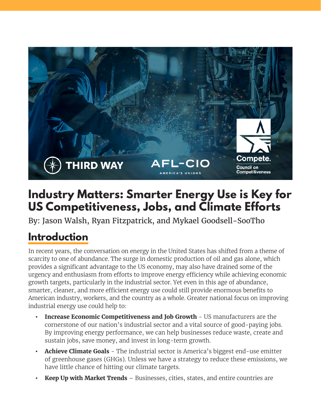

# **Industry Matters: Smarter Energy Use is Key for US Competitiveness, Jobs, and Climate Efforts**

By: Jason Walsh, Ryan Fitzpatrick, and Mykael Goodsell-SooTho

# **Introduction**

In recent years, the conversation on energy in the United States has shifted from a theme of scarcity to one of abundance. The surge in domestic production of oil and gas alone, which provides a significant advantage to the US economy, may also have drained some of the urgency and enthusiasm from efforts to improve energy efficiency while achieving economic growth targets, particularly in the industrial sector. Yet even in this age of abundance, smarter, cleaner, and more efficient energy use could still provide enormous benefits to American industry, workers, and the country as a whole. Greater national focus on improving industrial energy use could help to:

- **•• Increase Economic Competitiveness and Job Growth US manufacturers are the** cornerstone of our nation's industrial sector and a vital source of good-paying jobs. By improving energy performance, we can help businesses reduce waste, create and sustain jobs, save money, and invest in long-term growth.
- **• Achieve Climate Goals** The industrial sector is America's biggest end-use emitter of greenhouse gases (GHGs). Unless we have a strategy to reduce these emissions, we have little chance of hitting our climate targets.
- **• Keep Up with Market Trends** Businesses, cities, states, and entire countries are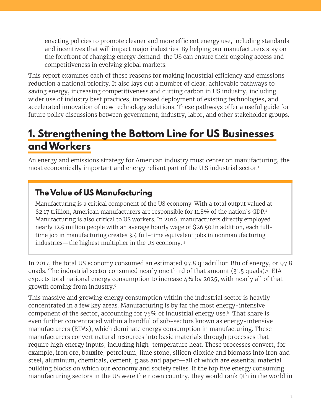enacting policies to promote cleaner and more efficient energy use, including standards and incentives that will impact major industries. By helping our manufacturers stay on the forefront of changing energy demand, the US can ensure their ongoing access and competitiveness in evolving global markets.

This report examines each of these reasons for making industrial efficiency and emissions reduction a national priority. It also lays out a number of clear, achievable pathways to saving energy, increasing competitiveness and cutting carbon in US industry, including wider use of industry best practices, increased deployment of existing technologies, and accelerated innovation of new technology solutions. These pathways offer a useful guide for future policy discussions between government, industry, labor, and other stakeholder groups.

# **1. Strengthening the Bottom Line for US Businesses and Workers**

An energy and emissions strategy for American industry must center on manufacturing, the most economically important and energy reliant part of the U.S industrial sector.<sup>1</sup>

### **The Value of US Manufacturing**

Manufacturing is a critical component of the US economy. With a total output valued at \$2.17 trillion, American manufacturers are responsible for 11.8% of the nation's GDP.<sup>2</sup> Manufacturing is also critical to US workers. In 2016, manufacturers directly employed nearly 12.5 million people with an average hourly wage of \$26.50.In addition, each fulltime job in manufacturing creates 3.4 full-time equivalent jobs in nonmanufacturing industries—the highest multiplier in the US economy. 3

In 2017, the total US economy consumed an estimated 97.8 quadrillion Btu of energy, or 97.8 quads. The industrial sector consumed nearly one third of that amount (31.5 quads). 4 EIA expects total national energy consumption to increase 4% by 2025, with nearly all of that growth coming from industry.5

This massive and growing energy consumption within the industrial sector is heavily concentrated in a few key areas. Manufacturing is by far the most energy-intensive component of the sector, accounting for 75% of industrial energy use.6 That share is even further concentrated within a handful of sub-sectors known as energy-intensive manufacturers (EIMs), which dominate energy consumption in manufacturing. These manufacturers convert natural resources into basic materials through processes that require high energy inputs, including high-temperature heat. These processes convert, for example, iron ore, bauxite, petroleum, lime stone, silicon dioxide and biomass into iron and steel, aluminum, chemicals, cement, glass and paper—all of which are essential material building blocks on which our economy and society relies. If the top five energy consuming manufacturing sectors in the US were their own country, they would rank 9th in the world in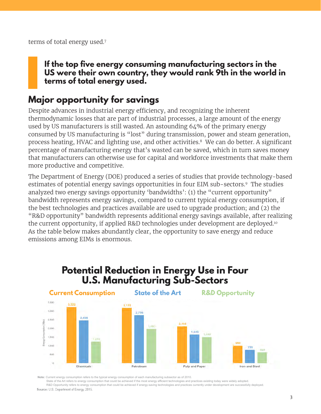terms of total energy used.7

#### **If the top five energy consuming manufacturing sectors in the US were their own country, they would rank 9th in the world in terms of total energy used.**

### **Major opportunity for savings**

Despite advances in industrial energy efficiency, and recognizing the inherent thermodynamic losses that are part of industrial processes, a large amount of the energy used by US manufacturers is still wasted. An astounding 64% of the primary energy consumed by US manufacturing is "lost" during transmission, power and steam generation, process heating, HVAC and lighting use, and other activities.8 We can do better. A significant percentage of manufacturing energy that's wasted can be saved, which in turn saves money that manufacturers can otherwise use for capital and workforce investments that make them more productive and competitive.

The Department of Energy (DOE) produced a series of studies that provide technology-based estimates of potential energy savings opportunities in four EIM sub-sectors.9 The studies analyzed two energy savings opportunity 'bandwidths': (1) the "current opportunity" bandwidth represents energy savings, compared to current typical energy consumption, if the best technologies and practices available are used to upgrade production; and (2) the "R&D opportunity" bandwidth represents additional energy savings available, after realizing the current opportunity, if applied R&D technologies under development are deployed.<sup>10</sup> As the table below makes abundantly clear, the opportunity to save energy and reduce emissions among EIMs is enormous.

### Potential Reduction in Energy Use in Four **U.S. Manufacturing Sub-Sectors**



**Note:** Current energy consumption refers to the typical energy consumption of each manufacturing subsector as of 2010.

 State of the Art refers to energy consumption that could be achieved if the most energy efficient technologies and practices existing today were widely adopted. R&D Opportunity refers to energy consumption that could be achieved if energy-saving technologies and practices currently under development are successfully deployed.

Source: U.S. Department of Energy, 2015.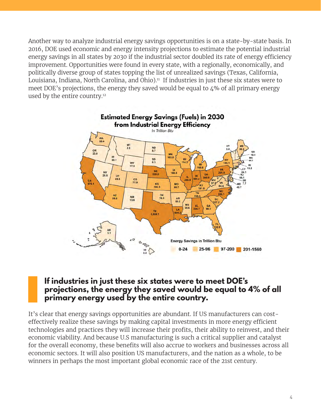Another way to analyze industrial energy savings opportunities is on a state-by-state basis. In 2016, DOE used economic and energy intensity projections to estimate the potential industrial energy savings in all states by 2030 if the industrial sector doubled its rate of energy efficiency improvement. Opportunities were found in every state, with a regionally, economically, and politically diverse group of states topping the list of unrealized savings (Texas, California, Louisiana, Indiana, North Carolina, and Ohio). $11$  If industries in just these six states were to meet DOE's projections, the energy they saved would be equal to  $4\%$  of all primary energy used by the entire country.12



#### **If industries in just these six states were to meet DOE's projections, the energy they saved would be equal to 4% of all primary energy used by the entire country.**

It's clear that energy savings opportunities are abundant. If US manufacturers can costeffectively realize these savings by making capital investments in more energy efficient technologies and practices they will increase their profits, their ability to reinvest, and their economic viability. And because U.S manufacturing is such a critical supplier and catalyst for the overall economy, these benefits will also accrue to workers and businesses across all economic sectors. It will also position US manufacturers, and the nation as a whole, to be winners in perhaps the most important global economic race of the 21st century.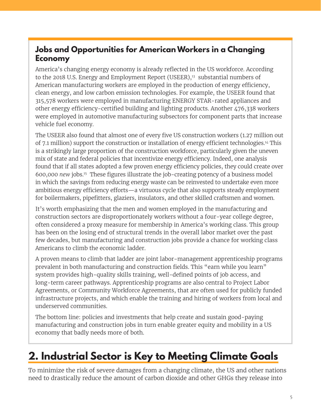### **Jobs and Opportunities for American Workers in a Changing Economy**

America's changing energy economy is already reflected in the US workforce. According to the 2018 U.S. Energy and Employment Report (USEER),<sup>13</sup> substantial numbers of American manufacturing workers are employed in the production of energy efficiency, clean energy, and low carbon emission technologies. For example, the USEER found that 315,578 workers were employed in manufacturing ENERGY STAR-rated appliances and other energy efficiency-certified building and lighting products. Another 476,338 workers were employed in automotive manufacturing subsectors for component parts that increase vehicle fuel economy.

The USEER also found that almost one of every five US construction workers (1.27 million out of 7.1 million) support the construction or installation of energy efficient technologies.14 This is a strikingly large proportion of the construction workforce, particularly given the uneven mix of state and federal policies that incentivize energy efficiency. Indeed, one analysis found that if all states adopted a few proven energy efficiency policies, they could create over 600,000 *new* jobs.15 These figures illustrate the job-creating potency of a business model in which the savings from reducing energy waste can be reinvested to undertake even more ambitious energy efficiency efforts—a virtuous cycle that also supports steady employment for boilermakers, pipefitters, glaziers, insulators, and other skilled craftsmen and women.

It's worth emphasizing that the men and women employed in the manufacturing and construction sectors are disproportionately workers without a four-year college degree, often considered a proxy measure for membership in America's working class. This group has been on the losing end of structural trends in the overall labor market over the past few decades, but manufacturing and construction jobs provide a chance for working class Americans to climb the economic ladder.

A proven means to climb that ladder are joint labor-management apprenticeship programs prevalent in both manufacturing and construction fields. This "earn while you learn" system provides high-quality skills training, well-defined points of job access, and long-term career pathways. Apprenticeship programs are also central to Project Labor Agreements, or Community Workforce Agreements, that are often used for publicly funded infrastructure projects, and which enable the training and hiring of workers from local and underserved communities.

The bottom line: policies and investments that help create and sustain good-paying manufacturing and construction jobs in turn enable greater equity and mobility in a US economy that badly needs more of both.

# **2. Industrial Sector is Key to Meeting Climate Goals**

To minimize the risk of severe damages from a changing climate, the US and other nations need to drastically reduce the amount of carbon dioxide and other GHGs they release into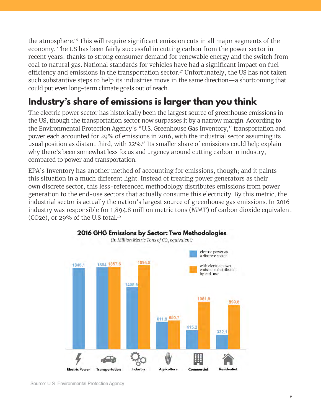the atmosphere.16 This will require significant emission cuts in all major segments of the economy. The US has been fairly successful in cutting carbon from the power sector in recent years, thanks to strong consumer demand for renewable energy and the switch from coal to natural gas. National standards for vehicles have had a significant impact on fuel efficiency and emissions in the transportation sector.<sup>17</sup> Unfortunately, the US has not taken such substantive steps to help its industries move in the same direction—a shortcoming that could put even long-term climate goals out of reach.

## **Industry's share of emissions is larger than you think**

The electric power sector has historically been the largest source of greenhouse emissions in the US, though the transportation sector now surpasses it by a narrow margin. According to the Environmental Protection Agency's "U.S. Greenhouse Gas Inventory," transportation and power each accounted for 29% of emissions in 2016, with the industrial sector assuming its usual position as distant third, with 22%.18 Its smaller share of emissions could help explain why there's been somewhat less focus and urgency around cutting carbon in industry, compared to power and transportation.

EPA's Inventory has another method of accounting for emissions, though; and it paints this situation in a much different light. Instead of treating power generators as their own discrete sector, this less-referenced methodology distributes emissions from power generation to the end-use sectors that actually consume this electricity. By this metric, the industrial sector is actually the nation's largest source of greenhouse gas emissions. In 2016 industry was responsible for 1,894.8 million metric tons (MMT) of carbon dioxide equivalent  $(CO2e)$ , or 29% of the U.S total.<sup>19</sup>



Source: U.S. Environmental Protection Agency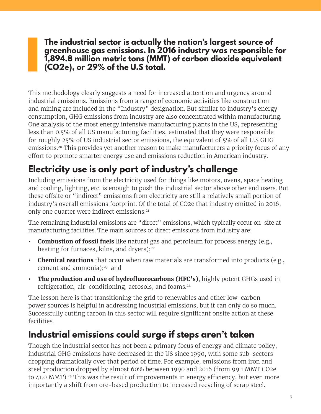**The industrial sector is actually the nation's largest source of greenhouse gas emissions. In 2016 industry was responsible for 1,894.8 million metric tons (MMT) of carbon dioxide equivalent (CO2e), or 29% of the U.S total.**

This methodology clearly suggests a need for increased attention and urgency around industrial emissions. Emissions from a range of economic activities like construction and mining are included in the "Industry" designation. But similar to industry's energy consumption, GHG emissions from industry are also concentrated within manufacturing. One analysis of the most energy intensive manufacturing plants in the US, representing less than 0.5% of all US manufacturing facilities, estimated that they were responsible for roughly 25% of US industrial sector emissions, the equivalent of 5% of all U.S GHG emissions.<sup>20</sup> This provides yet another reason to make manufacturers a priority focus of any effort to promote smarter energy use and emissions reduction in American industry.

## **Electricity use is only part of industry's challenge**

Including emissions from the electricity used for things like motors, ovens, space heating and cooling, lighting, etc. is enough to push the industrial sector above other end users. But these offsite or "indirect" emissions from electricity are still a relatively small portion of industry's overall emissions footprint. Of the total of CO2e that industry emitted in 2016, only one quarter were indirect emissions.<sup>21</sup>

The remaining industrial emissions are "direct" emissions, which typically occur on-site at manufacturing facilities. The main sources of direct emissions from industry are:

- **• Combustion of fossil fuels** like natural gas and petroleum for process energy (e.g., heating for furnaces, kilns, and dryers);<sup>22</sup>
- **• Chemical reactions** that occur when raw materials are transformed into products (e.g., cement and ammonia); $23$  and
- **• The production and use of hydrofluorocarbons (HFC's)**, highly potent GHGs used in refrigeration, air-conditioning, aerosols, and foams.24

The lesson here is that transitioning the grid to renewables and other low-carbon power sources is helpful in addressing industrial emissions, but it can only do so much. Successfully cutting carbon in this sector will require significant onsite action at these facilities.

### **Industrial emissions could surge if steps aren't taken**

Though the industrial sector has not been a primary focus of energy and climate policy, industrial GHG emissions have decreased in the US since 1990, with some sub-sectors dropping dramatically over that period of time. For example, emissions from iron and steel production dropped by almost 60% between 1990 and 2016 (from 99.1 MMT CO2e to 41.0 MMT).<sup>25</sup> This was the result of improvements in energy efficiency, but even more importantly a shift from ore-based production to increased recycling of scrap steel.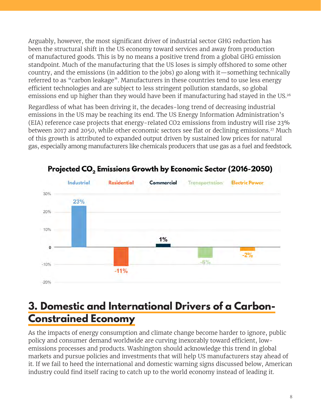Arguably, however, the most significant driver of industrial sector GHG reduction has been the structural shift in the US economy toward services and away from production of manufactured goods. This is by no means a positive trend from a global GHG emission standpoint. Much of the manufacturing that the US loses is simply offshored to some other country, and the emissions (in addition to the jobs) go along with it—something technically referred to as "carbon leakage". Manufacturers in these countries tend to use less energy efficient technologies and are subject to less stringent pollution standards, so global emissions end up higher than they would have been if manufacturing had stayed in the US.<sup>26</sup>

Regardless of what has been driving it, the decades-long trend of decreasing industrial emissions in the US may be reaching its end. The US Energy Information Administration's (EIA) reference case projects that energy-related CO2 emissions from industry will rise 23% between 2017 and 2050, while other economic sectors see flat or declining emissions.<sup>27</sup> Much of this growth is attributed to expanded output driven by sustained low prices for natural gas, especially among manufacturers like chemicals producers that use gas as a fuel and feedstock.



Projected CO<sub>2</sub> Emissions Growth by Economic Sector (2016-2050)

## **3. Domestic and International Drivers of a Carbon-Constrained Economy**

As the impacts of energy consumption and climate change become harder to ignore, public policy and consumer demand worldwide are curving inexorably toward efficient, lowemissions processes and products. Washington should acknowledge this trend in global markets and pursue policies and investments that will help US manufacturers stay ahead of it. If we fail to heed the international and domestic warning signs discussed below, American industry could find itself racing to catch up to the world economy instead of leading it.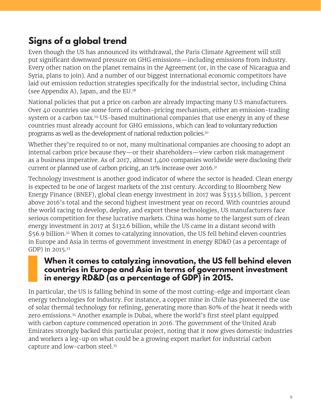## **Signs of a global trend**

Even though the US has announced its withdrawal, the Paris Climate Agreement will still put significant downward pressure on GHG emissions—including emissions from industry. Every other nation on the planet remains in the Agreement (or, in the case of Nicaragua and Syria, plans to join). And a number of our biggest international economic competitors have laid out emission reduction strategies specifically for the industrial sector, including China (see Appendix A), Japan, and the EU.28

National policies that put a price on carbon are already impacting many U.S manufacturers. Over 40 countries use some form of carbon-pricing mechanism, either an emission-trading system or a carbon tax.<sup>29</sup> US-based multinational companies that use energy in any of these countries must already account for GHG emissions, which can lead to voluntary reduction programs as well as the development of national reduction policies.30

Whether they're required to or not, many multinational companies are choosing to adopt an internal carbon price because they—or their shareholders—view carbon risk management as a business imperative. As of 2017, almost 1,400 companies worldwide were disclosing their current or planned use of carbon pricing, an 11% increase over 2016.31

Technology investment is another good indicator of where the sector is headed. Clean energy is expected to be one of largest markets of the 21st century. According to Bloomberg New Energy Finance (BNEF), global clean energy investment in 2017 was \$333.5 billion, 3 percent above 2016's total and the second highest investment year on record. With countries around the world racing to develop, deploy, and export these technologies, US manufacturers face serious competition for these lucrative markets. China was home to the largest sum of clean energy investment in 2017 at \$132.6 billion, while the US came in a distant second with \$56.9 billion.<sup>32</sup> When it comes to catalyzing innovation, the US fell behind eleven countries in Europe and Asia in terms of government investment in energy RD&D (as a percentage of GDP) in 2015.33

#### **When it comes to catalyzing innovation, the US fell behind eleven countries in Europe and Asia in terms of government investment in energy RD&D (as a percentage of GDP) in 2015.**

In particular, the US is falling behind in some of the most cutting-edge and important clean energy technologies for industry. For instance, a copper mine in Chile has pioneered the use of solar thermal technology for refining, generating more than 80% of the heat it needs with zero emissions.<sup>34</sup> Another example is Dubai, where the world's first steel plant equipped with carbon capture commenced operation in 2016. The government of the United Arab Emirates strongly backed this particular project, noting that it now gives domestic industries and workers a leg-up on what could be a growing export market for industrial carbon capture and low-carbon steel.35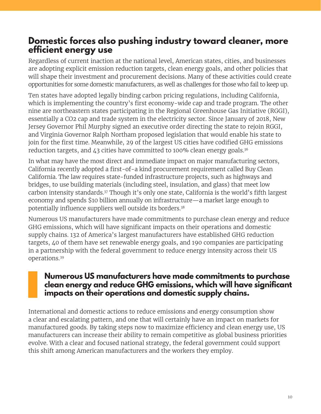### **Domestic forces also pushing industry toward cleaner, more efficient energy use**

Regardless of current inaction at the national level, American states, cities, and businesses are adopting explicit emission reduction targets, clean energy goals, and other policies that will shape their investment and procurement decisions. Many of these activities could create opportunities for some domestic manufacturers, as well as challenges for those who fail to keep up.

Ten states have adopted legally binding carbon pricing regulations, including California, which is implementing the country's first economy-wide cap and trade program. The other nine are northeastern states participating in the Regional Greenhouse Gas Initiative (RGGI), essentially a CO2 cap and trade system in the electricity sector. Since January of 2018, New Jersey Governor Phil Murphy signed an executive order directing the state to rejoin RGGI, and Virginia Governor Ralph Northam proposed legislation that would enable his state to join for the first time. Meanwhile, 29 of the largest US cities have codified GHG emissions reduction targets, and 43 cities have committed to 100% clean energy goals.36

In what may have the most direct and immediate impact on major manufacturing sectors, California recently adopted a first-of-a kind procurement requirement called Buy Clean California. The law requires state-funded infrastructure projects, such as highways and bridges, to use building materials (including steel, insulation, and glass) that meet low carbon intensity standards.37 Though it's only one state, California is the world's fifth largest economy and spends \$10 billion annually on infrastructure—a market large enough to potentially influence suppliers well outside its borders.<sup>38</sup>

Numerous US manufacturers have made commitments to purchase clean energy and reduce GHG emissions, which will have significant impacts on their operations and domestic supply chains. 132 of America's largest manufacturers have established GHG reduction targets, 40 of them have set renewable energy goals, and 190 companies are participating in a partnership with the federal government to reduce energy intensity across their US operations.39

### **Numerous US manufacturers have made commitments to purchase clean energy and reduce GHG emissions, which will have significant impacts on their operations and domestic supply chains.**

International and domestic actions to reduce emissions and energy consumption show a clear and escalating pattern, and one that will certainly have an impact on markets for manufactured goods. By taking steps now to maximize efficiency and clean energy use, US manufacturers can increase their ability to remain competitive as global business priorities evolve. With a clear and focused national strategy, the federal government could support this shift among American manufacturers and the workers they employ.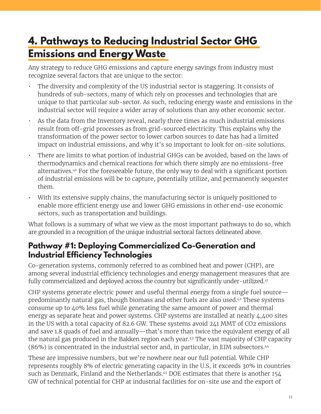# **4. Pathways to Reducing Industrial Sector GHG Emissions and Energy Waste**

Any strategy to reduce GHG emissions and capture energy savings from industry must recognize several factors that are unique to the sector:

- The diversity and complexity of the US industrial sector is staggering. It consists of hundreds of sub-sectors, many of which rely on processes and technologies that are unique to that particular sub-sector. As such, reducing energy waste and emissions in the industrial sector will require a wider array of solutions than any other economic sector.
- As the data from the Inventory reveal, nearly three times as much industrial emissions result from off-grid processes as from grid-sourced electricity. This explains why the transformation of the power sector to lower carbon sources to date has had a limited impact on industrial emissions, and why it's so important to look for on-site solutions.
- There are limits to what portion of industrial GHGs can be avoided, based on the laws of thermodynamics and chemical reactions for which there simply are no emissions-free alternatives.40 For the foreseeable future, the only way to deal with a significant portion of industrial emissions will be to capture, potentially utilize, and permanently sequester them.
- With its extensive supply chains, the manufacturing sector is uniquely positioned to enable more efficient energy use and lower GHG emissions in other end-use economic sectors, such as transportation and buildings.

What follows is a summary of what we view as the most important pathways to do so, which are grounded in a recognition of the unique industrial sectoral factors delineated above.

### **Pathway #1: Deploying Commercialized Co-Generation and Industrial Efficiency Technologies**

Co-generation systems, commonly referred to as combined heat and power (CHP), are among several industrial efficiency technologies and energy management measures that are fully commercialized and deployed across the country but significantly under-utilized. 41

CHP systems generate electric power and useful thermal energy from a single fuel source predominantly natural gas, though biomass and other fuels are also used.42 These systems consume up to 40% less fuel while generating the same amount of power and thermal energy as separate heat and power systems. CHP systems are installed at nearly 4,400 sites in the US with a total capacity of 82.6 GW. These systems avoid 241 MMT of CO2 emissions and save 1.8 quads of fuel and annually—that's more than twice the equivalent energy of all the natural gas produced in the Bakken region each year. <sup>43</sup> The vast majority of CHP capacity (86%) is concentrated in the industrial sector and, in particular, in EIM subsectors.44

These are impressive numbers, but we're nowhere near our full potential. While CHP represents roughly 8% of electric generating capacity in the U.S, it exceeds 30% in countries such as Denmark, Finland and the Netherlands.45 DOE estimates that there is another 154 GW of technical potential for CHP at industrial facilities for on-site use and the export of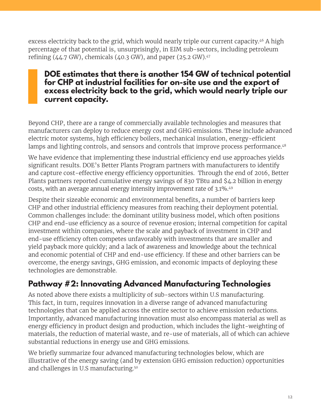excess electricity back to the grid, which would nearly triple our current capacity. <sup>46</sup> A high percentage of that potential is, unsurprisingly, in EIM sub-sectors, including petroleum refining  $(44.7 \text{ GW})$ , chemicals  $(40.3 \text{ GW})$ , and paper  $(25.2 \text{ GW})$ .<sup>47</sup>

### **DOE estimates that there is another 154 GW of technical potential for CHP at industrial facilities for on-site use and the export of excess electricity back to the grid, which would nearly triple our current capacity.**

Beyond CHP, there are a range of commercially available technologies and measures that manufacturers can deploy to reduce energy cost and GHG emissions. These include advanced electric motor systems, high efficiency boilers, mechanical insulation, energy-efficient lamps and lighting controls, and sensors and controls that improve process performance.<sup>48</sup>

We have evidence that implementing these industrial efficiency end use approaches yields significant results. DOE's Better Plants Program partners with manufacturers to identify and capture cost-effective energy efficiency opportunities. Through the end of 2016, Better Plants partners reported cumulative energy savings of 830 TBtu and \$4.2 billion in energy costs, with an average annual energy intensity improvement rate of 3.1%. 49

Despite their sizeable economic and environmental benefits, a number of barriers keep CHP and other industrial efficiency measures from reaching their deployment potential. Common challenges include: the dominant utility business model, which often positions CHP and end-use efficiency as a source of revenue erosion; internal competition for capital investment within companies, where the scale and payback of investment in CHP and end-use efficiency often competes unfavorably with investments that are smaller and yield payback more quickly; and a lack of awareness and knowledge about the technical and economic potential of CHP and end-use efficiency. If these and other barriers can be overcome, the energy savings, GHG emission, and economic impacts of deploying these technologies are demonstrable.

### **Pathway #2: Innovating Advanced Manufacturing Technologies**

As noted above there exists a multiplicity of sub-sectors within U.S manufacturing. This fact, in turn, requires innovation in a diverse range of advanced manufacturing technologies that can be applied across the entire sector to achieve emission reductions. Importantly, advanced manufacturing innovation must also encompass material as well as energy efficiency in product design and production, which includes the light-weighting of materials, the reduction of material waste, and re-use of materials, all of which can achieve substantial reductions in energy use and GHG emissions.

We briefly summarize four advanced manufacturing technologies below, which are illustrative of the energy saving (and by extension GHG emission reduction) opportunities and challenges in U.S manufacturing.50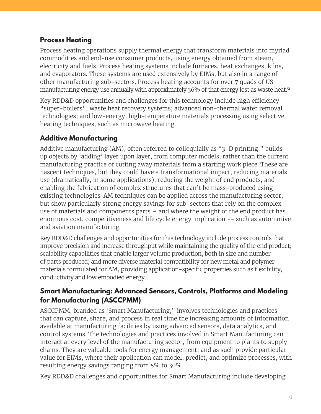### **Process Heating**

Process heating operations supply thermal energy that transform materials into myriad commodities and end-use consumer products, using energy obtained from steam, electricity and fuels. Process heating systems include furnaces, heat exchanges, kilns, and evaporators. These systems are used extensively by EIMs, but also in a range of other manufacturing sub-sectors. Process heating accounts for over 7 quads of US manufacturing energy use annually with approximately 36% of that energy lost as waste heat.<sup>51</sup>

Key RDD&D opportunities and challenges for this technology include high efficiency "super-boilers"; waste heat recovery systems; advanced non-thermal water removal technologies; and low-energy, high-temperature materials processing using selective heating techniques, such as microwave heating.

#### **Additive Manufacturing**

Additive manufacturing (AM), often referred to colloquially as "3-D printing," builds up objects by 'adding' layer upon layer, from computer models, rather than the current manufacturing practice of cutting away materials from a starting work piece. These are nascent techniques, but they could have a transformational impact, reducing materials use (dramatically, in some applications), reducing the weight of end products, and enabling the fabrication of complex structures that can't be mass-produced using existing technologies. AM techniques can be applied across the manufacturing sector, but show particularly strong energy savings for sub-sectors that rely on the complex use of materials and components parts – and where the weight of the end product has enormous cost, competitiveness and life cycle energy implication -- such as automotive and aviation manufacturing.

Key RDD&D challenges and opportunities for this technology include process controls that improve precision and increase throughput while maintaining the quality of the end product; scalability capabilities that enable larger volume production, both in size and number of parts produced; and more diverse material compatibility for new metal and polymer materials formulated for AM, providing application-specific properties such as flexibility, conductivity and low embodied energy.

#### **Smart Manufacturing: Advanced Sensors, Controls, Platforms and Modeling for Manufacturing (ASCCPMM)**

ASCCPMM, branded as 'Smart Manufacturing," involves technologies and practices that can capture, share, and process in real time the increasing amounts of information available at manufacturing facilities by using advanced sensors, data analytics, and control systems. The technologies and practices involved in Smart Manufacturing can interact at every level of the manufacturing sector, from equipment to plants to supply chains. They are valuable tools for energy management, and as such provide particular value for EIMs, where their application can model, predict, and optimize processes, with resulting energy savings ranging from 5% to 30%.

Key RDD&D challenges and opportunities for Smart Manufacturing include developing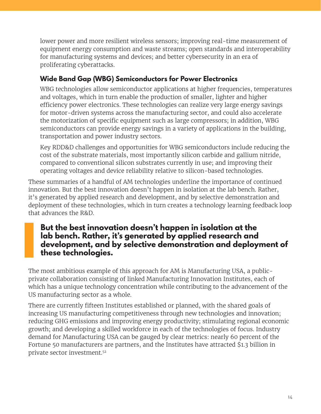lower power and more resilient wireless sensors; improving real-time measurement of equipment energy consumption and waste streams; open standards and interoperability for manufacturing systems and devices; and better cybersecurity in an era of proliferating cyberattacks.

### **Wide Band Gap (WBG) Semiconductors for Power Electronics**

WBG technologies allow semiconductor applications at higher frequencies, temperatures and voltages, which in turn enable the production of smaller, lighter and higher efficiency power electronics. These technologies can realize very large energy savings for motor-driven systems across the manufacturing sector, and could also accelerate the motorization of specific equipment such as large compressors; in addition, WBG semiconductors can provide energy savings in a variety of applications in the building, transportation and power industry sectors.

Key RDD&D challenges and opportunities for WBG semiconductors include reducing the cost of the substrate materials, most importantly silicon carbide and gallium nitride, compared to conventional silicon substrates currently in use; and improving their operating voltages and device reliability relative to silicon-based technologies.

These summaries of a handful of AM technologies underline the importance of continued innovation. But the best innovation doesn't happen in isolation at the lab bench. Rather, it's generated by applied research and development, and by selective demonstration and deployment of these technologies, which in turn creates a technology learning feedback loop that advances the R&D.

### **But the best innovation doesn't happen in isolation at the lab bench. Rather, it's generated by applied research and development, and by selective demonstration and deployment of these technologies.**

The most ambitious example of this approach for AM is Manufacturing USA, a publicprivate collaboration consisting of linked Manufacturing Innovation Institutes, each of which has a unique technology concentration while contributing to the advancement of the US manufacturing sector as a whole.

There are currently fifteen Institutes established or planned, with the shared goals of increasing US manufacturing competitiveness through new technologies and innovation; reducing GHG emissions and improving energy productivity; stimulating regional economic growth; and developing a skilled workforce in each of the technologies of focus. Industry demand for Manufacturing USA can be gauged by clear metrics: nearly 60 percent of the Fortune 50 manufacturers are partners, and the Institutes have attracted \$1.3 billion in private sector investment.52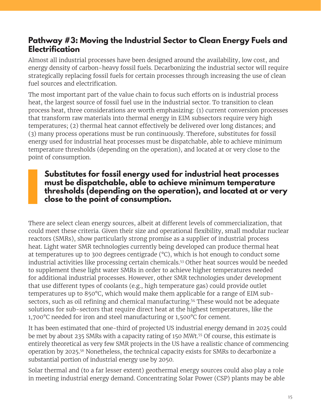### **Pathway #3: Moving the Industrial Sector to Clean Energy Fuels and Electrification**

Almost all industrial processes have been designed around the availability, low cost, and energy density of carbon-heavy fossil fuels. Decarbonizing the industrial sector will require strategically replacing fossil fuels for certain processes through increasing the use of clean fuel sources and electrification.

The most important part of the value chain to focus such efforts on is industrial process heat, the largest source of fossil fuel use in the industrial sector. To transition to clean process heat, three considerations are worth emphasizing: (1) current conversion processes that transform raw materials into thermal energy in EIM subsectors require very high temperatures; (2) thermal heat cannot effectively be delivered over long distances; and (3) many process operations must be run continuously. Therefore, substitutes for fossil energy used for industrial heat processes must be dispatchable, able to achieve minimum temperature thresholds (depending on the operation), and located at or very close to the point of consumption.

#### **Substitutes for fossil energy used for industrial heat processes must be dispatchable, able to achieve minimum temperature thresholds (depending on the operation), and located at or very close to the point of consumption.**

There are select clean energy sources, albeit at different levels of commercialization, that could meet these criteria. Given their size and operational flexibility, small modular nuclear reactors (SMRs), show particularly strong promise as a supplier of industrial process heat. Light water SMR technologies currently being developed can produce thermal heat at temperatures up to 300 degrees centigrade (°C), which is hot enough to conduct some industrial activities like processing certain chemicals.53 Other heat sources would be needed to supplement these light water SMRs in order to achieve higher temperatures needed for additional industrial processes. However, other SMR technologies under development that use different types of coolants (e.g., high temperature gas) could provide outlet temperatures up to 850°C, which would make them applicable for a range of EIM subsectors, such as oil refining and chemical manufacturing.<sup>54</sup> These would not be adequate solutions for sub-sectors that require direct heat at the highest temperatures, like the 1,700°C needed for iron and steel manufacturing or 1,500°C for cement.

It has been estimated that one-third of projected US industrial energy demand in 2025 could be met by about 235 SMRs with a capacity rating of 150 MWt.<sup>55</sup> Of course, this estimate is entirely theoretical as very few SMR projects in the US have a realistic chance of commencing operation by 2025. <sup>56</sup> Nonetheless, the technical capacity exists for SMRs to decarbonize a substantial portion of industrial energy use by 2050.

Solar thermal and (to a far lesser extent) geothermal energy sources could also play a role in meeting industrial energy demand. Concentrating Solar Power (CSP) plants may be able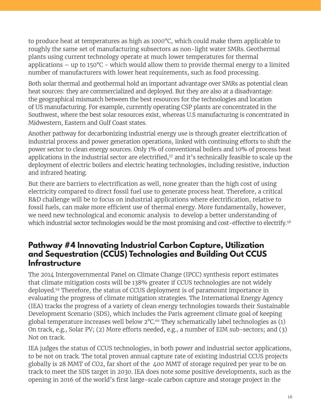to produce heat at temperatures as high as 1000°C, which could make them applicable to roughly the same set of manufacturing subsectors as non-light water SMRs. Geothermal plants using current technology operate at much lower temperatures for thermal applications – up to  $150^{\circ}$ C – which would allow them to provide thermal energy to a limited number of manufacturers with lower heat requirements, such as food processing.

Both solar thermal and geothermal hold an important advantage over SMRs as potential clean heat sources: they are commercialized and deployed. But they are also at a disadvantage: the geographical mismatch between the best resources for the technologies and location of US manufacturing. For example, currently operating CSP plants are concentrated in the Southwest, where the best solar resources exist, whereas U.S manufacturing is concentrated in Midwestern, Eastern and Gulf Coast states.

Another pathway for decarbonizing industrial energy use is through greater electrification of industrial process and power generation operations, linked with continuing efforts to shift the power sector to clean energy sources. Only 1% of conventional boilers and 10% of process heat applications in the industrial sector are electrified,<sup>57</sup> and it's technically feasible to scale up the deployment of electric boilers and electric heating technologies, including resistive, induction and infrared heating.

But there are barriers to electrification as well, none greater than the high cost of using electricity compared to direct fossil fuel use to generate process heat. Therefore, a critical R&D challenge will be to focus on industrial applications where electrification, relative to fossil fuels, can make more efficient use of thermal energy. More fundamentally, however, we need new technological and economic analysis to develop a better understanding of which industrial sector technologies would be the most promising and cost-effective to electrify.<sup>58</sup>

### **Pathway #4 Innovating Industrial Carbon Capture, Utilization and Sequestration (CCUS) Technologies and Building Out CCUS Infrastructure**

The 2014 Intergovernmental Panel on Climate Change (IPCC) synthesis report estimates that climate mitigation costs will be 138% greater if CCUS technologies are not widely deployed. 59 Therefore, the status of CCUS deployment is of paramount importance in evaluating the progress of climate mitigation strategies. The International Energy Agency (IEA) tracks the progress of a variety of clean energy technologies towards their Sustainable Development Scenario (SDS), which includes the Paris agreement climate goal of keeping global temperature increases well below  $2^{\circ}C^{60}$  They schematically label technologies as (1) On track, e.g., Solar PV; (2) More efforts needed, e.g., a number of EIM sub-sectors; and (3) Not on track.

IEA judges the status of CCUS technologies, in both power and industrial sector applications, to be not on track. The total proven annual capture rate of existing industrial CCUS projects globally is 28 MMT of CO2, far short of the 400 MMT of storage required per year to be on track to meet the SDS target in 2030. IEA does note some positive developments, such as the opening in 2016 of the world's first large-scale carbon capture and storage project in the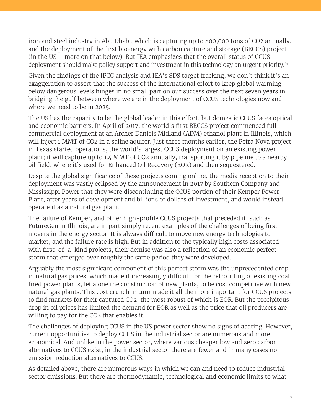iron and steel industry in Abu Dhabi, which is capturing up to 800,000 tons of CO2 annually, and the deployment of the first bioenergy with carbon capture and storage (BECCS) project (in the US – more on that below). But IEA emphasizes that the overall status of CCUS deployment should make policy support and investment in this technology an urgent priority. 61

Given the findings of the IPCC analysis and IEA's SDS target tracking, we don't think it's an exaggeration to assert that the success of the international effort to keep global warming below dangerous levels hinges in no small part on our success over the next seven years in bridging the gulf between where we are in the deployment of CCUS technologies now and where we need to be in 2025.

The US has the capacity to be the global leader in this effort, but domestic CCUS faces optical and economic barriers. In April of 2017, the world's first BECCS project commenced full commercial deployment at an Archer Daniels Midland (ADM) ethanol plant in Illinois, which will inject 1 MMT of CO2 in a saline aquifer. Just three months earlier, the Petra Nova project in Texas started operations, the world's largest CCUS deployment on an existing power plant; it will capture up to 1.4 MMT of CO2 annually, transporting it by pipeline to a nearby oil field, where it's used for Enhanced Oil Recovery (EOR) and then sequestered.

Despite the global significance of these projects coming online, the media reception to their deployment was vastly eclipsed by the announcement in 2017 by Southern Company and Mississippi Power that they were discontinuing the CCUS portion of their Kemper Power Plant, after years of development and billions of dollars of investment, and would instead operate it as a natural gas plant.

The failure of Kemper, and other high-profile CCUS projects that preceded it, such as FutureGen in Illinois, are in part simply recent examples of the challenges of being first movers in the energy sector. It is always difficult to move new energy technologies to market, and the failure rate is high. But in addition to the typically high costs associated with first-of-a-kind projects, their demise was also a reflection of an economic perfect storm that emerged over roughly the same period they were developed.

Arguably the most significant component of this perfect storm was the unprecedented drop in natural gas prices, which made it increasingly difficult for the retrofitting of existing coal fired power plants, let alone the construction of new plants, to be cost competitive with new natural gas plants. This cost crunch in turn made it all the more important for CCUS projects to find markets for their captured CO2, the most robust of which is EOR. But the precipitous drop in oil prices has limited the demand for EOR as well as the price that oil producers are willing to pay for the CO2 that enables it.

The challenges of deploying CCUS in the US power sector show no signs of abating. However, current opportunities to deploy CCUS in the industrial sector are numerous and more economical. And unlike in the power sector, where various cheaper low and zero carbon alternatives to CCUS exist, in the industrial sector there are fewer and in many cases no emission reduction alternatives to CCUS.

As detailed above, there are numerous ways in which we can and need to reduce industrial sector emissions. But there are thermodynamic, technological and economic limits to what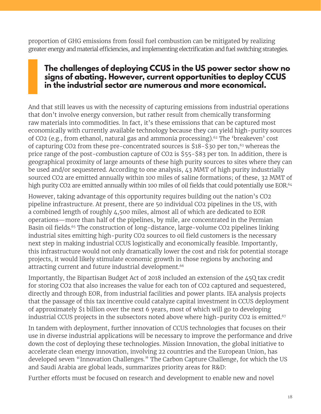proportion of GHG emissions from fossil fuel combustion can be mitigated by realizing greater energy and material efficiencies, and implementing electrification and fuel switching strategies.

### **The challenges of deploying CCUS in the US power sector show no signs of abating. However, current opportunities to deploy CCUS in the industrial sector are numerous and more economical.**

And that still leaves us with the necessity of capturing emissions from industrial operations that don't involve energy conversion, but rather result from chemically transforming raw materials into commodities. In fact, it's these emissions that can be captured most economically with currently available technology because they can yield high-purity sources of CO2 (e.g., from ethanol, natural gas and ammonia processing).<sup>62</sup> The 'breakeven' cost of capturing CO2 from these pre-concentrated sources is \$18-\$30 per ton,<sup>63</sup> whereas the price range of the post-combustion capture of CO2 is \$55-\$83 per ton. In addition, there is geographical proximity of large amounts of these high purity sources to sites where they can be used and/or sequestered. According to one analysis, 43 MMT of high purity industrially sourced CO2 are emitted annually within 100 miles of saline formations; of these, 32 MMT of high purity CO2 are emitted annually within 100 miles of oil fields that could potentially use EOR.<sup>64</sup>

However, taking advantage of this opportunity requires building out the nation's CO2 pipeline infrastructure. At present, there are 50 individual CO2 pipelines in the US, with a combined length of roughly 4,500 miles, almost all of which are dedicated to EOR operations—more than half of the pipelines, by mile, are concentrated in the Permian Basin oil fields.<sup>65</sup> The construction of long-distance, large-volume CO2 pipelines linking industrial sites emitting high-purity CO2 sources to oil field customers is the necessary next step in making industrial CCUS logistically and economically feasible. Importantly, this infrastructure would not only dramatically lower the cost and risk for potential storage projects, it would likely stimulate economic growth in those regions by anchoring and attracting current and future industrial development.<sup>66</sup>

Importantly, the Bipartisan Budget Act of 2018 included an extension of the 45Q tax credit for storing CO2 that also increases the value for each ton of CO2 captured and sequestered, directly and through EOR, from industrial facilities and power plants. IEA analysis projects that the passage of this tax incentive could catalyze capital investment in CCUS deployment of approximately \$1 billion over the next 6 years, most of which will go to developing industrial CCUS projects in the subsectors noted above where high-purity CO2 is emitted.<sup>67</sup>

In tandem with deployment, further innovation of CCUS technologies that focuses on their use in diverse industrial applications will be necessary to improve the performance and drive down the cost of deploying these technologies. Mission Innovation, the global initiative to accelerate clean energy innovation, involving 22 countries and the European Union, has developed seven "Innovation Challenges." The Carbon Capture Challenge, for which the US and Saudi Arabia are global leads, summarizes priority areas for R&D:

Further efforts must be focused on research and development to enable new and novel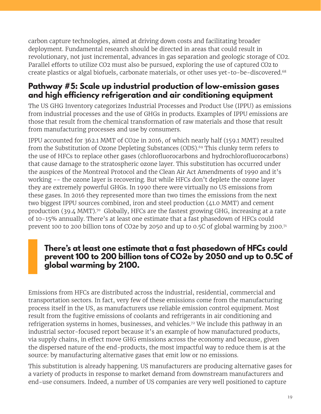carbon capture technologies, aimed at driving down costs and facilitating broader deployment. Fundamental research should be directed in areas that could result in revolutionary, not just incremental, advances in gas separation and geologic storage of CO2. Parallel efforts to utilize CO2 must also be pursued, exploring the use of captured CO2 to create plastics or algal biofuels, carbonate materials, or other uses yet-to-be-discovered.68

### **Pathway #5: Scale up industrial production of low-emission gases and high efficiency refrigeration and air conditioning equipment**

The US GHG Inventory categorizes Industrial Processes and Product Use (IPPU) as emissions from industrial processes and the use of GHGs in products. Examples of IPPU emissions are those that result from the chemical transformation of raw materials and those that result from manufacturing processes and use by consumers.

IPPU accounted for 362.1 MMT of CO2e in 2016, of which nearly half (159.1 MMT) resulted from the Substitution of Ozone Depleting Substances (ODS).<sup>69</sup> This clunky term refers to the use of HFCs to replace other gases (chlorofluorocarbons and hydrochlorofluorocarbons) that cause damage to the stratospheric ozone layer. This substitution has occurred under the auspices of the Montreal Protocol and the Clean Air Act Amendments of 1990 and it's working -- the ozone layer is recovering. But while HFCs don't deplete the ozone layer they are extremely powerful GHGs. In 1990 there were virtually no US emissions from these gases. In 2016 they represented more than two times the emissions from the next two biggest IPPU sources combined, iron and steel production (41.0 MMT) and cement production (39.4 MMT). 70 Globally, HFCs are the fastest growing GHG, increasing at a rate of 10-15% annually. There's at least one estimate that a fast phasedown of HFCs could prevent 100 to 200 billion tons of CO2e by 2050 and up to 0.5C of global warming by 2100.<sup>71</sup>

### **There's at least one estimate that a fast phasedown of HFCs could prevent 100 to 200 billion tons of CO2e by 2050 and up to 0.5C of global warming by 2100.**

Emissions from HFCs are distributed across the industrial, residential, commercial and transportation sectors. In fact, very few of these emissions come from the manufacturing process itself in the US, as manufacturers use reliable emission control equipment. Most result from the fugitive emissions of coolants and refrigerants in air conditioning and refrigeration systems in homes, businesses, and vehicles.<sup>72</sup> We include this pathway in an industrial sector-focused report because it's an example of how manufactured products, via supply chains, in effect move GHG emissions across the economy and because, given the dispersed nature of the end-products, the most impactful way to reduce them is at the source: by manufacturing alternative gases that emit low or no emissions.

This substitution is already happening. US manufacturers are producing alternative gases for a variety of products in response to market demand from downstream manufacturers and end-use consumers. Indeed, a number of US companies are very well positioned to capture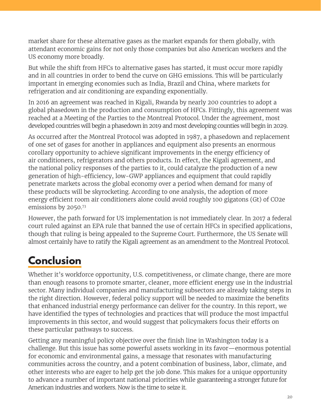market share for these alternative gases as the market expands for them globally, with attendant economic gains for not only those companies but also American workers and the US economy more broadly.

But while the shift from HFCs to alternative gases has started, it must occur more rapidly and in all countries in order to bend the curve on GHG emissions. This will be particularly important in emerging economies such as India, Brazil and China, where markets for refrigeration and air conditioning are expanding exponentially.

In 2016 an agreement was reached in Kigali, Rwanda by nearly 200 countries to adopt a global phasedown in the production and consumption of HFCs. Fittingly, this agreement was reached at a Meeting of the Parties to the Montreal Protocol. Under the agreement, most developed countries will begin a phasedown in 2019 and most developing counties will begin in 2029.

As occurred after the Montreal Protocol was adopted in 1987, a phasedown and replacement of one set of gases for another in appliances and equipment also presents an enormous corollary opportunity to achieve significant improvements in the energy efficiency of air conditioners, refrigerators and others products. In effect, the Kigali agreement, and the national policy responses of the parties to it, could catalyze the production of a new generation of high-efficiency, low-GWP appliances and equipment that could rapidly penetrate markets across the global economy over a period when demand for many of these products will be skyrocketing. According to one analysis, the adoption of more energy efficient room air conditioners alone could avoid roughly 100 gigatons (Gt) of CO2e emissions by 2050.73

However, the path forward for US implementation is not immediately clear. In 2017 a federal court ruled against an EPA rule that banned the use of certain HFCs in specified applications, though that ruling is being appealed to the Supreme Court. Furthermore, the US Senate will almost certainly have to ratify the Kigali agreement as an amendment to the Montreal Protocol.

# **Conclusion**

Whether it's workforce opportunity, U.S. competitiveness, or climate change, there are more than enough reasons to promote smarter, cleaner, more efficient energy use in the industrial sector. Many individual companies and manufacturing subsectors are already taking steps in the right direction. However, federal policy support will be needed to maximize the benefits that enhanced industrial energy performance can deliver for the country. In this report, we have identified the types of technologies and practices that will produce the most impactful improvements in this sector, and would suggest that policymakers focus their efforts on these particular pathways to success.

Getting any meaningful policy objective over the finish line in Washington today is a challenge. But this issue has some powerful assets working in its favor—enormous potential for economic and environmental gains, a message that resonates with manufacturing communities across the country, and a potent combination of business, labor, climate, and other interests who are eager to help get the job done. This makes for a unique opportunity to advance a number of important national priorities while guaranteeing a stronger future for American industries and workers. Now is the time to seize it.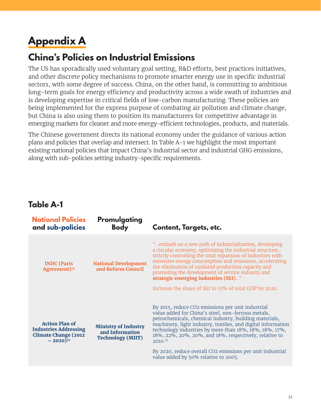# **Appendix A**

### **China's Policies on Industrial Emissions**

The US has sporadically used voluntary goal setting, R&D efforts, best practices initiatives, and other discrete policy mechanisms to promote smarter energy use in specific industrial sectors, with some degree of success. China, on the other hand, is committing to ambitious long-term goals for energy efficiency and productivity across a wide swath of industries and is developing expertise in critical fields of low-carbon manufacturing. These policies are being implemented for the express purpose of combating air pollution and climate change, but China is also using them to position its manufacturers for competitive advantage in emerging markets for cleaner and more energy-efficient technologies, products, and materials.

The Chinese government directs its national economy under the guidance of various action plans and policies that overlap and intersect. In Table A-1 we highlight the most important existing national policies that impact China's industrial sector and industrial GHG emissions, along with sub-policies setting industry-specific requirements.

### **Table A-1**

| <b>National Policies</b><br>and sub-policies                                                                    | Promulgating<br><b>Body</b>                                                | <b>Content, Targets, etc.</b>                                                                                                                                                                                                                                                                                                                                                                                                                                         |
|-----------------------------------------------------------------------------------------------------------------|----------------------------------------------------------------------------|-----------------------------------------------------------------------------------------------------------------------------------------------------------------------------------------------------------------------------------------------------------------------------------------------------------------------------------------------------------------------------------------------------------------------------------------------------------------------|
| <b>INDC</b> (Paris<br>Agreement) <sup>74</sup>                                                                  | <b>National Development</b><br>and Reform Council                          | "embark on a new path of industrialization, developing<br>a circular economy, optimizing the industrial structure<br>strictly controlling the total expansion of industries with<br>extensive energy consumption and emissions, accelerating<br>the elimination of outdated production capacity and<br>promoting the development of service industry and<br>strategic emerging industries (SEI)"<br>Increase the share of SEI to 15% of total GDP by 2020.            |
| <b>Action Plan of</b><br><b>Industries Addressing</b><br><b>Climate Change (2012</b><br>$-2020$ ) <sup>75</sup> | <b>Ministry of Industry</b><br>and Information<br><b>Technology (MIIT)</b> | By 2015, reduce CO2 emissions per unit industrial<br>value added for China's steel, non-ferrous metals,<br>petrochemicals, chemical industry, building materials,<br>machinery, light industry, textiles, and digital information<br>technology industries by more than 18%, 18%, 18%, 17%,<br>18%, 22%, 20%, 20%, and 18%, respectively, relative to<br>2010.76<br>By 2020, reduce overall CO2 emissions per unit industrial<br>value added by 50% relative to 2005. |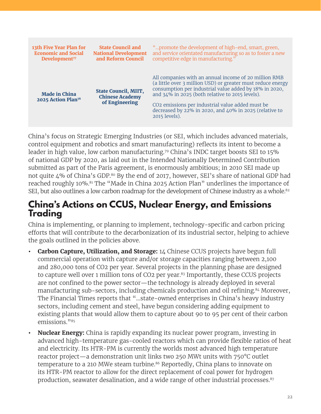| 13th Five Year Plan for                                | <b>State Council and</b>                                                | "promote the development of high-end, smart, green,                                                                                                                                                                                                                                                                                                                          |
|--------------------------------------------------------|-------------------------------------------------------------------------|------------------------------------------------------------------------------------------------------------------------------------------------------------------------------------------------------------------------------------------------------------------------------------------------------------------------------------------------------------------------------|
| <b>Economic and Social</b>                             | <b>National Development</b>                                             | and service orientated manufacturing so as to foster a new                                                                                                                                                                                                                                                                                                                   |
| Development <sup>77</sup>                              | and Reform Council                                                      | competitive edge in manufacturing."                                                                                                                                                                                                                                                                                                                                          |
| <b>Made in China</b><br>2025 Action Plan <sup>78</sup> | <b>State Council, MIIT,</b><br><b>Chinese Academy</b><br>of Engineering | All companies with an annual income of 20 million RMB<br>(a little over 3 million USD) or greater must reduce energy<br>consumption per industrial value added by 18% in 2020,<br>and 34% in 2025 (both relative to 2015 levels).<br>CO <sub>2</sub> emissions per industrial value added must be<br>decreased by 22% in 2020, and 40% in 2025 (relative to<br>2015 levels). |

China's focus on Strategic Emerging Industries (or SEI, which includes advanced materials, control equipment and robotics and smart manufacturing) reflects its intent to become a leader in high value, low carbon manufacturing. 79 China's INDC target boosts SEI to 15% of national GDP by 2020, as laid out in the Intended Nationally Determined Contribution submitted as part of the Paris agreement, is enormously ambitious; in 2010 SEI made up not quite 4% of China's GDP. 80 By the end of 2017, however, SEI's share of national GDP had reached roughly 10%.81 The "Made in China 2025 Action Plan" underlines the importance of SEI, but also outlines a low carbon roadmap for the development of Chinese industry as a whole.<sup>82</sup>

### **China's Actions on CCUS, Nuclear Energy, and Emissions Trading**

China is implementing, or planning to implement, technology-specific and carbon pricing efforts that will contribute to the decarbonization of its industrial sector, helping to achieve the goals outlined in the policies above.

- **• Carbon Capture, Utilization, and Storage:** 14 Chinese CCUS projects have begun full commercial operation with capture and/or storage capacities ranging between 2,100 and 280,000 tons of CO2 per year. Several projects in the planning phase are designed to capture well over 1 million tons of CO2 per year.<sup>83</sup> Importantly, these CCUS projects are not confined to the power sector—the technology is already deployed in several manufacturing sub-sectors, including chemicals production and oil refining.<sup>84</sup> Moreover, The Financial Times reports that "…state-owned enterprises in China's heavy industry sectors, including cement and steel, have begun considering adding equipment to existing plants that would allow them to capture about 90 to 95 per cent of their carbon emissions."<sup>85</sup>
- **• Nuclear Energy:** China is rapidly expanding its nuclear power program, investing in advanced high-temperature gas-cooled reactors which can provide flexible ratios of heat and electricity. Its HTR-PM is currently the worlds most advanced high temperature reactor project—a demonstration unit links two 250 MWt units with 750°C outlet temperature to a 210 MWe steam turbine.<sup>86</sup> Reportedly, China plans to innovate on its HTR-PM reactor to allow for the direct replacement of coal power for hydrogen production, seawater desalination, and a wide range of other industrial processes.<sup>87</sup>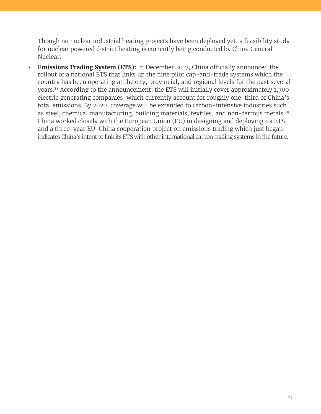Though no nuclear industrial heating projects have been deployed yet, a feasibility study for nuclear powered district heating is currently being conducted by China General Nuclear.

**• Emissions Trading System (ETS):** In December 2017, China officially announced the rollout of a national ETS that links up the nine pilot cap-and-trade systems which the country has been operating at the city, provincial, and regional levels for the past several years.88 According to the announcement, the ETS will initially cover approximately 1,700 electric generating companies, which currently account for roughly one-third of China's total emissions. By 2020, coverage will be extended to carbon-intensive industries such as steel, chemical manufacturing, building materials, textiles, and non-ferrous metals.<sup>89</sup> China worked closely with the European Union (EU) in designing and deploying its ETS, and a three-year EU-China cooperation project on emissions trading which just began indicates China's intent to link its ETS with other international carbon trading systems in the future.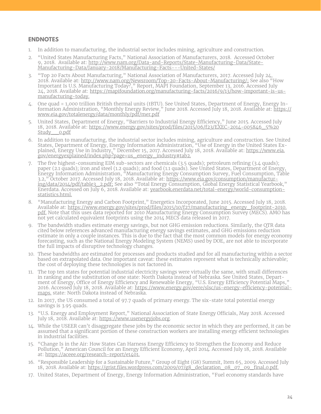#### **ENDNOTES**

- 1. In addition to manufacturing, the industrial sector includes mining, agriculture and construction.
- 2. "United States Manufacturing Facts," National Association of Manufacturers, 2018. Accessed October 9, 2018. Available at: [http://www.nam.org/Data-and-Reports/State-Manufacturing-Data/State-](http://www.nam.org/Data-and-Reports/State-Manufacturing-Data/State-Manufacturing-Data/January-2018/Manufacturing-Facts---United-States/)[Manufacturing-Data/January-2018/Manufacturing-Facts---United-States/](http://www.nam.org/Data-and-Reports/State-Manufacturing-Data/State-Manufacturing-Data/January-2018/Manufacturing-Facts---United-States/)
- 3. "Top 20 Facts About Manufacturing," National Association of Manufacturers, 2017. Accessed July 24, 2018. Available at: <http://www.nam.org/Newsroom/Top-20-Facts-About-Manufacturing/;>See also "How Important Is U.S. Manufacturing Today?," Report, MAPI Foundation, September 13, 2016. Accessed July 24, 2018. Available at: [https://mapifoundation.org/manufacturing-facts/2016/9/13/how-important-is-us](https://mapifoundation.org/manufacturing-facts/2016/9/13/how-important-is-us-manufacturing-today)[manufacturing-today.](https://mapifoundation.org/manufacturing-facts/2016/9/13/how-important-is-us-manufacturing-today)
- 4. One quad = 1,000 trillion British thermal units (tBTU). See United States, Department of Energy, Energy Information Administration, "Monthly Energy Review," June 2018. Accessed July 18, 2018. Available at: [https://](https://www.eia.gov/totalenergy/data/monthly/pdf/mer.pdf) [www.eia.gov/totalenergy/data/monthly/pdf/mer.pdf](https://www.eia.gov/totalenergy/data/monthly/pdf/mer.pdf)
- 5. United States, Department of Energy, "Barriers to Industrial Energy Efficiency," June 2015. Accessed July 18, 2018. Available at: [https://www.energy.gov/sites/prod/files/2015/06/f23/EXEC-2014-005846\\_5%20](https://www.energy.gov/sites/prod/files/2015/06/f23/EXEC-2014-005846_5%20Study__0.pdf) Study o.pdf
- 6. In addition to manufacturing, the industrial sector includes mining, agriculture and construction. See United States, Department of Energy, Energy Information Administration, "Use of Energy in the United States Explained, Energy Use in Industry," December 15, 2017. Accessed July 18, 2018. Available at: [https://www.eia.](https://www.eia.gov/energyexplained/index.php?page=us_energy_industry#tab2) [gov/energyexplained/index.php?page=us\\_energy\\_industry#tab2.](https://www.eia.gov/energyexplained/index.php?page=us_energy_industry#tab2)
- 7. The five highest-consuming EIM sub-sectors are chemicals (3.5 quads); petroleum refining (3.4 quads); paper (2.1 quads); iron and steel (1.2 quads); and food (1.1 quads). See United States, Department of Energy, Energy Information Administration, "Manufacturing Energy Consumption Survey, Fuel Consumption, Table 3.2," October 2017. Accessed July 18, 2018. Available at: [https://www.eia.gov/consumption/manufactur](https://www.eia.gov/consumption/manufacturing/data/2014/pdf/table3_2.pdf)[ing/data/2014/pdf/table3\\_2.pdf;](https://www.eia.gov/consumption/manufacturing/data/2014/pdf/table3_2.pdf) See also "Total Energy Consumption, Global Energy Statistical Yearbook," Enerdata. Accessed on July 6, 2018. Available at: [yearbook.enerdata.net/total-energy/world-consumption](http://yearbook.enerdata.net/total-energy/world-consumption-statistics.html.)[statistics.html.](http://yearbook.enerdata.net/total-energy/world-consumption-statistics.html.)
- 8. "Manufacturing Energy and Carbon Footprint," Energetics Incorporated, June 2015. Accessed July 18, 2018. Available at: [https://www.energy.gov/sites/prod/files/2015/10/f27/manufacturing\\_energy\\_footprint-2010.](https://www.energy.gov/sites/prod/files/2015/10/f27/manufacturing_energy_footprint-2010.pdf.) [pdf.](https://www.energy.gov/sites/prod/files/2015/10/f27/manufacturing_energy_footprint-2010.pdf.) Note that this uses data reported for 2010 Manufacturing Energy Consumption Survey (MECS). AMO has not yet calculated equivalent footprints using the 2014 MECS data released in 2017.
- 9. The bandwidth studies estimate energy savings, but not GHG emission reductions. Similarly, the QTR data cited below references advanced manufacturing energy savings estimates, and GHG emissions reduction estimate in only a couple instances. This is due to the fact that the most common models for energy economy forecasting, such as the National Energy Modeling System (NEMS) used by DOE, are not able to incorporate the full impacts of disruptive technology changes.
- 10. These bandwidths are estimated for processes and products studied and for all manufacturing within a sector based on extrapolated data. One important caveat: these estimates represent what is technically achievable; the cost of deploying these technologies is not factored in.
- 11. The top ten states for potential industrial electricity savings were virtually the same, with small differences in ranking and the substitution of one state: North Dakota instead of Nebraska. See United States, Department of Energy, Office of Energy Efficiency and Renewable Energy, "U.S. Energy Efficiency Potential Maps," 2016. Accessed July 18, 2018. Available at: [https://www.energy.gov/eere/slsc/us-energy-efficiency-potential](https://www.energy.gov/eere/slsc/us-energy-efficiency-potential-maps.)[maps.](https://www.energy.gov/eere/slsc/us-energy-efficiency-potential-maps.) state: North Dakota instead of Nebraska.
- 12. In 2017, the US consumed a total of 97.7 quads of primary energy. The six-state total potential energy savings is 3.95 quads.
- 13. "U.S. Energy and Employment Report," National Association of State Energy Officials, May 2018. Accessed July 18, 2018. Available at: [https://www.usenergyjobs.org.](https://www.usenergyjobs.org/)
- 14. While the USEER can't disaggregate these jobs by the economic sector in which they are performed, it can be assumed that a significant portion of these construction workers are installing energy efficient technologies in industrial facilities.
- 15. "Change Is in the Air: How States Can Harness Energy Efficiency to Strengthen the Economy and Reduce Pollution," American Council for an Energy Efficient Economy, April 2014. Accessed July 18, 2018. Available at:<https://aceee.org/research-report/e1401.>
- 16. "Responsible Leadership for a Sustainable Future," Group of Eight (G8) Summit, Item 65, 2009. Accessed July 18, 2018. Available at: [https://grist.files.wordpress.com/2009/07/g8\\_declaration\\_08\\_07\\_09\\_final,0.pdf.](https://grist.files.wordpress.com/2009/07/g8_declaration_08_07_09_final,0.pdf)
- 17. United States, Department of Energy, Energy Information Administration, "Fuel economy standards have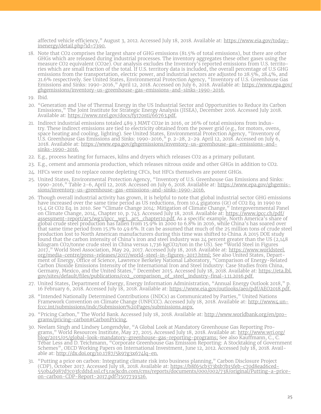affected vehicle efficiency," August 3, 2012. Accessed July 18, 2018. Available at: [https://www.eia.gov/today](https://www.eia.gov/todayinenergy/detail.php?id=7390)[inenergy/detail.php?id=7390.](https://www.eia.gov/todayinenergy/detail.php?id=7390)

18. Note that CO2 comprises the largest share of GHG emissions (81.5% of total emissions), but there are other GHGs which are released during industrial processes. The inventory aggregates these other gases using the measure CO2 equivalent (CO2e). Our analysis excludes the Inventory's reported emissions from U.S. territories which are small fraction of the total. If U.S. territory data is included, the overall percentage of U.S GHG emissions from the transportation, electric power, and industrial sectors are adjusted to 28.5%, 28.4%, and 21.6% respectively. See United States, Environmental Protection Agency, "Inventory of U.S. Greenhouse Gas Emissions and Sinks: 1990-2016," April 12, 2018. Accessed on July 6, 2018. Available at: [https://www.epa.gov/](https://www.epa.gov/ghgemissions/inventory-us-greenhouse-gas-emissions-and-sinks-1990-2016) [ghgemissions/inventory-us-greenhouse-gas-emissions-and-sinks-1990-2016.](https://www.epa.gov/ghgemissions/inventory-us-greenhouse-gas-emissions-and-sinks-1990-2016)

19. Ibid.

- 20. "Generation and Use of Thermal Energy in the US Industrial Sector and Opportunities to Reduce its Carbon Emissions," The Joint Institute for Strategic Energy Analysis (JISEA), December 2016. Accessed July 2018. Available at:<https://www.nrel.gov/docs/fy17osti/66763.pdf.>
- 21. Indirect industrial emissions totaled 489.3 MMT CO2e in 2016, or 26% of total emissions from industry. These indirect emissions are tied to electricity obtained from the power grid (e.g., for motors, ovens, space heating and cooling, lighting). See United States, Environmental Protection Agency, "Inventory of U.S. Greenhouse Gas Emissions and Sinks: 1990-2016, $\dot{v}$  p. 2-28, 2-29. April 12, 2018. Accessed on July 6, 2018. Available at: [https://www.epa.gov/ghgemissions/inventory-us-greenhouse-gas-emissions-and](https://www.epa.gov/ghgemissions/inventory-us-greenhouse-gas-emissions-and-sinks-1990-2016)[sinks-1990-2016.](https://www.epa.gov/ghgemissions/inventory-us-greenhouse-gas-emissions-and-sinks-1990-2016)
- 22. E.g., process heating for furnaces, kilns and dryers which releases CO2 as a primary pollutant.
- 23. E.g., cement and ammonia production, which releases nitrous oxide and other GHGs in addition to CO2.
- 24. HFCs were used to replace ozone depleting CFCs, but HFCs themselves are potent GHGs.
- 25. United States, Environmental Protection Agency, "Inventory of U.S. Greenhouse Gas Emissions and Sinks: 1990-2016," Table 2-6, April 12, 2018. Accessed on July 6, 2018. Available at: [https://www.epa.gov/ghgemis](https://www.epa.gov/ghgemissions/inventory-us-greenhouse-gas-emissions-and-sinks-1990-2016)[sions/inventory-us-greenhouse-gas-emissions-and-sinks-1990-2016.](https://www.epa.gov/ghgemissions/inventory-us-greenhouse-gas-emissions-and-sinks-1990-2016)
- 26. Though overall industrial activity has grown, it is helpful to note that global industrial sector GHG emissions have increased over the same time period as US reductions, from 10.4 gigatons (Gt) of CO2 Eq. in 1990 to 15.4 Gt CO2 Eq. in 2010. See "Climate Change 2014: Mitigation of Climate Change," Intergovernmental Panel on Climate Change, 2014, Chapter 10, p. 743. Accessed July 18, 2018. Available at: [https://www.ipcc.ch/pdf/](https://www.ipcc.ch/pdf/assessment-report/ar5/wg3/ipcc_wg3_ar5_chapter10.pdf) [assessment-report/ar5/wg3/ipcc\\_wg3\\_ar5\\_chapter10.pdf.](https://www.ipcc.ch/pdf/assessment-report/ar5/wg3/ipcc_wg3_ar5_chapter10.pdf) As a specific example, North America's share of global crude steel production has fallen from 15.9% in 2000 to 6.8% in 2016, while China's has soared over that same time period from 15.1% to 49.6%. It can be assumed that much of the 25 million tons of crude steel production lost to North American manufacturers during this time was shifted to China. A 2015 DOE study found that the carbon intensity of China's iron and steel industry was 24 percent greater than the US (2,148 kilogram CO2/tonne crude steel in China versus 1,736 kgCO2/ton in the US). See "World Steel in Figures 2017," World Steel Association, May 29, 2017. Accessed July 18, 2018. Available at: [https://www.worldsteel.](https://www.worldsteel.org/media-centre/press-releases/2017/world-steel-in-figures-2017.html) [org/media-centre/press-releases/2017/world-steel-in-figures-2017.html;](https://www.worldsteel.org/media-centre/press-releases/2017/world-steel-in-figures-2017.html) See also United States, Department of Energy, Office of Science, Lawrence Berkeley National Laboratory, "Comparison of Energy-Related Carbon Dioxide Emissions Intensity of the International Iron and Steel Industry: Case Studies from China, Germany, Mexico, and the United States," December 2015. Accessed July 18, 2018. Available at: <u>https://eta.lbl.</u> [gov/sites/default/files/publications/co2\\_comparison\\_of\\_steel\\_industry-final-1.11.2016.pdf.](https://eta.lbl.gov/sites/default/files/publications/co2_comparison_of_steel_industry-final-1.11.2016.pdf)
- 27. United States, Department of Energy, Energy Information Administration, "Annual Energy Outlook 2018," p. 16 February 6, 2018. Accessed July 18, 2018. Available at:<https://www.eia.gov/outlooks/aeo/pdf/AEO2018.pdf.>
- 28. "Intended Nationally Determined Contributions (INDCs) as Communicated by Parties," United Nations Framework Convention on Climate Change (UNFCCC). Accessed July 18, 2018. Available at: [http://www4.un](http://www4.unfccc.int/submissions/indc/Submission%20Pages/submissions.aspx.)[fccc.int/submissions/indc/Submission%20Pages/submissions.aspx.](http://www4.unfccc.int/submissions/indc/Submission%20Pages/submissions.aspx.)
- 29. "Pricing Carbon," The World Bank. Accessed July 18, 2018. Available at: [http://www.worldbank.org/en/pro](http://www.worldbank.org/en/programs/pricing-carbon#CarbonPricing.)[grams/pricing-carbon#CarbonPricing.](http://www.worldbank.org/en/programs/pricing-carbon#CarbonPricing.)
- 30. Neelam Singh and Lindsey Longendyke, "A Global Look at Mandatory Greenhouse Gas Reporting Programs," World Resources Institute, May 27, 2015. Accessed July 18, 2018. Available at: [http://www.wri.org/](http://www.wri.org/blog/2015/05/global-look-mandatory-greenhouse-gas-reporting-programs) [blog/2015/05/global-look-mandatory-greenhouse-gas-reporting-programs;](http://www.wri.org/blog/2015/05/global-look-mandatory-greenhouse-gas-reporting-programs) See also Kauffmann, C., C. Tébar Less and D. Teichmann, "Corporate Greenhouse Gas Emission Reporting: A Stocktaking of Government Schemes", OECD Working Papers on International Investment, June 12, 2012. Accessed July 18, 2018. Available at: [http://dx.doi.org/10.1787/5k97g3x674lq-en.](https://www.oecd-ilibrary.org/finance-and-investment/corporate-greenhouse-gas-emission-reporting_5k97g3x674lq-en)
- 31. "Putting a price on carbon: Integrating climate risk into business planning," Carbon Disclosure Project (CDP), October 2017. Accessed July 18, 2018. Available at: [https://b8f65cb373b1b7b15feb-c70d8ead6ced-](https://b8f65cb373b1b7b15feb-c70d8ead6ced550b4d987d7c03fcdd1d.ssl.cf3.rackcdn.com/cms/reports/documents/000/002/738/original/Putting-a-price-on-carbon-CDP-Report-2017.pdf?1507739326)[550b4d987d7c03fcdd1d.ssl.cf3.rackcdn.com/cms/reports/documents/000/002/738/original/Putting-a-price](https://b8f65cb373b1b7b15feb-c70d8ead6ced550b4d987d7c03fcdd1d.ssl.cf3.rackcdn.com/cms/reports/documents/000/002/738/original/Putting-a-price-on-carbon-CDP-Report-2017.pdf?1507739326)[on-carbon-CDP-Report-2017.pdf?1507739326.](https://b8f65cb373b1b7b15feb-c70d8ead6ced550b4d987d7c03fcdd1d.ssl.cf3.rackcdn.com/cms/reports/documents/000/002/738/original/Putting-a-price-on-carbon-CDP-Report-2017.pdf?1507739326)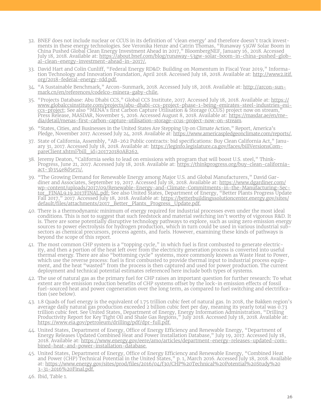- 32. BNEF does not include nuclear or CCUS in its definition of 'clean energy' and therefore doesn't track investments in these energy technologies. See Veronika Henze and Catrin Thomas, "Runaway 53GW Solar Boom in China Pushed Global Clean Energy Investment Ahead in 2017," BloombergNEF, January 16, 2018. Accessed July 18, 2018. Available at: [https://about.bnef.com/blog/runaway-53gw-solar-boom-in-china-pushed-glob](https://about.bnef.com/blog/runaway-53gw-solar-boom-in-china-pushed-global-clean-energy-investment-ahead-in-2017/.)[al-clean-energy-investment-ahead-in-2017/.](https://about.bnef.com/blog/runaway-53gw-solar-boom-in-china-pushed-global-clean-energy-investment-ahead-in-2017/.)
- 33. David Hart and Colin Cunliff, "Federal Energy RD&D: Building on Momentum in Fiscal Year 2019," Information Technology and Innovation Foundation, April 2018. Accessed July 18, 2018. Available at: [http://www2.itif.](http://www2.itif.org/2018-federal-energy-rdd.pdf.) [org/2018-federal-energy-rdd.pdf.](http://www2.itif.org/2018-federal-energy-rdd.pdf.)
- 34. "A Sustainable Benchmark," Arcon-Sunmark, 2018. Accessed July 18, 2018. Available at: [http://arcon-sun](http://arcon-sunmark.cn/en/references/codelco-minera-gaby-chile)[mark.cn/en/references/codelco-minera-gaby-chile.](http://arcon-sunmark.cn/en/references/codelco-minera-gaby-chile)
- 35. "Projects Database: Abu Dhabi CCS," Global CCS Institute, 2017. Accessed July 18, 2018. Available at: [https://](https://www.globalccsinstitute.com/projects/abu-dhabi-ccs-project-phase-1-being-emirates-steel-industries-esi-ccs-project.) [www.globalccsinstitute.com/projects/abu-dhabi-ccs-project-phase-1-being-emirates-steel-industries-esi](https://www.globalccsinstitute.com/projects/abu-dhabi-ccs-project-phase-1-being-emirates-steel-industries-esi-ccs-project.)[ccs-project](https://www.globalccsinstitute.com/projects/abu-dhabi-ccs-project-phase-1-being-emirates-steel-industries-esi-ccs-project.); See also "MENA's first Carbon Capture Utilisation & Storage (CCUS) project now on stream," Press Release, MASDAR, November 5, 2016. Accessed August 8, 2018. Available at: <u>https://masdar.ae/en/me-</u> [dia/detail/menas-first-carbon-capture-utilisation-storage-ccus-project-now-on-stream](https://masdar.ae/en/media/detail/menas-first-carbon-capture-utilisation-storage-ccus-project-now-on-stream).
- 36. "States, Cities, and Businesses in the United States Are Stepping Up on Climate Action," Report, America's Pledge, November 2017. Accessed July 24, 2018. Available at:<https://www.americaspledgeonclimate.com/reports/.>
- 37. State of California, Assembly, "AB-262 Public contracts: bid specifications: Buy Clean California Act," January 31, 2017. Accessed July 18, 2018. Available at: https://leginfo.legislature.ca.gov/faces/billVersionsCompareClient.xhtml?bill\_id=201720180AB262[.](https://leginfo.legislature.ca.gov/faces/billVersionsCompareClient.xhtml?bill_id=201720180AB262)
- 38. Jeremy Deaton, "California seeks to lead on emissions with program that will boost U.S. steel," Think-Progress, June 21, 2017. Accessed July 18, 2018. Available at: [https://thinkprogress.org/buy-clean-california](https://thinkprogress.org/buy-clean-california-act-3b354e8d5e71/.)[act-3b354e8d5e71/.](https://thinkprogress.org/buy-clean-california-act-3b354e8d5e71/.)
- 39. "The Growing Demand for Renewable Energy among Major U.S. and Global Manufacturers," David Gardiner and Associates, September 19, 2017. Accessed July 18, 2018. Available at: [https://www.dgardiner.com/](https://www.dgardiner.com/wp-content/uploads/2017/09/Renewable-Energy-and-Climate-Commitments-in-the-Manufacturing-Sector_FINAL9.19.2017FINAL.pdf;) [wp-content/uploads/2017/09/Renewable-Energy-and-Climate-Commitments-in-the-Manufacturing-Sec](https://www.dgardiner.com/wp-content/uploads/2017/09/Renewable-Energy-and-Climate-Commitments-in-the-Manufacturing-Sector_FINAL9.19.2017FINAL.pdf;)[tor\\_FINAL9.19.2017FINAL.pdf;](https://www.dgardiner.com/wp-content/uploads/2017/09/Renewable-Energy-and-Climate-Commitments-in-the-Manufacturing-Sector_FINAL9.19.2017FINAL.pdf;) See also United States, Department of Energy, "Better Plants Progress Update Fall 2017," 2017. Accessed July 18, 2018. Available at: [https://betterbuildingssolutioncenter.energy.gov/sites/](https://betterbuildingssolutioncenter.energy.gov/sites/default/files/attachments/2017_Better_Plants_Progress_Update.pdf.) [default/files/attachments/2017\\_Better\\_Plants\\_Progress\\_Update.pdf.](https://betterbuildingssolutioncenter.energy.gov/sites/default/files/attachments/2017_Better_Plants_Progress_Update.pdf.)
- 40. There is a thermodynamic minimum of energy required for industrial processes even under the most ideal conditions. This is not to suggest that such feedstock and material switching isn't worthy of vigorous R&D. It is. There are some potentially disruptive technology pathways to explore, such as using zero emission energy sources to power electrolysis for hydrogen production, which in turn could be used in various industrial subsectors as chemical precursors, process agents, and fuels. However, examining these kinds of pathways is beyond the scope of this report.
- 41. The most common CHP system is a "topping cycle," in which fuel is first combusted to generate electricity, and then a portion of the heat left over from the electricity generation process is converted into useful thermal energy. There are also "bottoming cycle" systems, more commonly known as Waste Heat to Power, which use the reverse process: fuel is first combusted to provide thermal input to industrial process equipment, and the heat "wasted" from the process is then captured and used for power production. The current deployment and technical potential estimates referenced here include both types of systems.
- 42. The use of natural gas as the primary fuel for CHP raises an important question for further research: To what extent are the emission reduction benefits of CHP systems offset by the lock-in emission effects of fossil fuel-sourced heat and power cogeneration over the long term, as compared to fuel switching and electrification (see below).
- 43. 1.8 Quads of fuel energy is the equivalent of 1.75 trillion cubic feet of natural gas. In 2018, the Bakken region's average daily natural gas production exceeded 2 billion cubic feet per day, meaning its yearly total was 0.73 trillion cubic feet. See United States, Department of Energy, Energy Information Administration, "Drilling Productivity Report for Key Tight Oil and Shale Gas Regions," July 2018. Accessed July 18, 2018. Available at: <https://www.eia.gov/petroleum/drilling/pdf/dpr-full.pdf.>
- 44. United States, Department of Energy, Office of Energy Efficiency and Renewable Energy, "Department of Energy Releases Updated Combined Heat and Power Installation Database," July 19, 2017. Accessed July 18, 2018. Available at: [https://www.energy.gov/eere/amo/articles/department-energy-releases-updated-com](https://www.energy.gov/eere/amo/articles/department-energy-releases-updated-combined-heat-and-power-installation-database.)[bined-heat-and-power-installation-database.](https://www.energy.gov/eere/amo/articles/department-energy-releases-updated-combined-heat-and-power-installation-database.)
- 45. United States, Department of Energy, Office of Energy Efficiency and Renewable Energy, "Combined Heat and Power (CHP) Technical Potential in the United States," p. 1, March 2016. Accessed July 18, 2018. Available at: [https://www.energy.gov/sites/prod/files/2016/04/f30/CHP%20Technical%20Potential%20Study%20](https://www.energy.gov/sites/prod/files/2016/04/f30/CHP%20Technical%20Potential%20Study%203-31-2016%20Final.pdf) [3-31-2016%20Final.pdf.](https://www.energy.gov/sites/prod/files/2016/04/f30/CHP%20Technical%20Potential%20Study%203-31-2016%20Final.pdf)
- 46. Ibid, Table 1.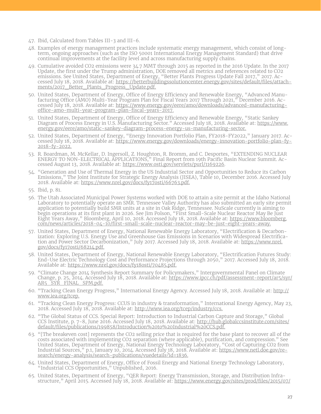- 47. Ibid, Calculated from Tables III-3 and III-6.
- 48. Examples of energy management practices include systematic energy management, which consist of longterm, ongoing approaches (such as the ISO 50001 International Energy Management Standard) that drive continual improvements at the facility level and across manufacturing supply chains.
- 49. Cumulative avoided CO2 emissions were 34.7 MMT through 2015 as reported in the 2016 Update. In the 2017 Update, the first under the Trump administration, DOE removed all metrics and references related to CO2 emissions. See United States, Department of Energy, "Better Plants Progress Update Fall 2017," 2017. Accessed July 18, 2018. Available at: [https://betterbuildingssolutioncenter.energy.gov/sites/default/files/attach](https://betterbuildingssolutioncenter.energy.gov/sites/default/files/attachments/2017_Better_Plants_Progress_Update.pdf.)ments/2017 Better Plants Progress Update.pdf.
- 50. United States, Department of Energy, Office of Energy Efficiency and Renewable Energy, "Advanced Manufacturing Office (AMO) Multi-Year Program Plan for Fiscal Years 2017 Through 2021," December 2016. Accessed July 18, 2018. Available at: [https://www.energy.gov/eere/amo/downloads/advanced-manufacturing](https://www.energy.gov/eere/amo/downloads/advanced-manufacturing-office-amo-multi-year-program-plan-fiscal-years-2017)[office-amo-multi-year-program-plan-fiscal-years-2017.](https://www.energy.gov/eere/amo/downloads/advanced-manufacturing-office-amo-multi-year-program-plan-fiscal-years-2017)
- 51. United States, Department of Energy, Office of Energy Efficiency and Renewable Energy, "Static Sankey Diagram of Process Energy in U.S. Manufacturing Sector." Accessed July 18, 2018. Available at: [https://www.](https://www.energy.gov/eere/amo/static-sankey-diagram-process-energy-us-manufacturing-sector) [energy.gov/eere/amo/static-sankey-diagram-process-energy-us-manufacturing-sector.](https://www.energy.gov/eere/amo/static-sankey-diagram-process-energy-us-manufacturing-sector)
- 52. United States, Department of Energy, "Energy Innovation Portfolio Plan, FY2018-FY2022," January 2017. Accessed July 18, 2018. Available at: [https://www.energy.gov/downloads/energy-innovation-portfolio-plan-fy-](https://www.energy.gov/downloads/energy-innovation-portfolio-plan-fy-2018-fy-2022)[2018-fy-2022.](https://www.energy.gov/downloads/energy-innovation-portfolio-plan-fy-2018-fy-2022)
- 53. R. Boardman, M. McKellar, D. Ingersoll, Z. Houghton, R. Bromm, and C. Desportes, "EXTENDING NUCLEAR ENERGY TO NON-ELECTRICAL APPLICATIONS," Final Report from 19th Pacific Basin Nuclear Summit. Accessed August 13, 2018. Available at: [https://www.osti.gov/servlets/purl/1169226.](https://www.osti.gov/servlets/purl/1169226)
- 54. "Generation and Use of Thermal Energy in the US Industrial Sector and Opportunities to Reduce its Carbon Emissions," The Joint Institute for Strategic Energy Analysis (JISEA), Table 10, December 2016. Accessed July 2018. Available at: <https://www.nrel.gov/docs/fy17osti/66763.pdf.>
- 55. Ibid, p. 81.
- 56. The Utah Associated Municipal Power Systems worked with DOE to attain a site permit at the Idaho National Laboratory to potentially operate an SMR. Tennessee Valley Authority has also submitted an early site permit application to potentially build SMR units at a site in Oak Ridge, Tennessee. NuScale currently is aiming to begin operations at its first plant in 2026. See Jim Polson, "First Small-Scale Nuclear Reactor May Be Just Eight Years Away," Bloomberg, April 10, 2018. Accessed July 18, 2018. Available at: [https://www.bloomberg.](https://www.bloomberg.com/news/articles/2018-04-10/first-small-scale-nuclear-reactor-may-be-just-eight-years-away) [com/news/articles/2018-04-10/first-small-scale-nuclear-reactor-may-be-just-eight-years-away.](https://www.bloomberg.com/news/articles/2018-04-10/first-small-scale-nuclear-reactor-may-be-just-eight-years-away)
- 57. United States, Department of Energy, National Renewable Energy Laboratory, "Electrification & Decarbonization: Exploring U.S. Energy Use and Greenhouse Gas Emissions in Scenarios with Widespread Electrification and Power Sector Decarbonization," July 2017. Accessed July 18, 2018. Available at: [https://www.nrel.](https://www.nrel.gov/docs/fy17osti/68214.pdf) [gov/docs/fy17osti/68214.pdf.](https://www.nrel.gov/docs/fy17osti/68214.pdf)
- 58. United States, Department of Energy, National Renewable Energy Laboratory, "Electrification Futures Study: End-Use Electric Technology Cost and Performance Projections through 2050," 2017. Accessed July 18, 2018. Available at: [https://www.nrel.gov/docs/fy18osti/70485.pdf.](https://www.nrel.gov/docs/fy18osti/70485.pdf)
- 59. "Climate Change 2014 Synthesis Report Summary for Policymakers," Intergovernmental Panel on Climate Change, p. 25, 2014. Accessed July 18, 2018. Available at: [https://www.ipcc.ch/pdf/assessment-report/ar5/syr/](https://www.ipcc.ch/pdf/assessment-report/ar5/syr/AR5_SYR_FINAL_SPM.pdf) [AR5\\_SYR\\_FINAL\\_SPM.pdf.](https://www.ipcc.ch/pdf/assessment-report/ar5/syr/AR5_SYR_FINAL_SPM.pdf)
- 60. "Tracking Clean Energy Progress," International Energy Agency. Accessed July 18, 2018. Available at: [http://](http://www.iea.org/tcep.) [www.iea.org/tcep.](http://www.iea.org/tcep.)
- 61. "Tracking Clean Energy Progress: CCUS in industry & transformation," International Energy Agency, May 23, 2018. Accessed July 18, 2018. Available at:<http://www.iea.org/tcep/industry/ccs.>
- 62. "The Global Status of CCS. Special Report: Introduction to Industrial Carbon Capture and Storage," Global CCS Institute, p. 7-8, June 2016. Accessed July 18, 2018. Available at: [http://hub.globalccsinstitute.com/sites/](http://hub.globalccsinstitute.com/sites/default/files/publications/199858/Introduction%20to%20Industrial%20CCS.pdf) [default/files/publications/199858/Introduction%20to%20Industrial%20CCS.pdf.](http://hub.globalccsinstitute.com/sites/default/files/publications/199858/Introduction%20to%20Industrial%20CCS.pdf)
- 63. "[The breakeven cost] represents the CO2 selling price that is required for the base plant to recover all of the costs associated with implementing CO2 separation (where applicable), purification, and compression." See United States, Department of Energy, National Energy Technology Laboratory, "Cost of Capturing CO2 from Industrial Sources," p.1, January 10, 2014. Accessed July 18, 2018. Available at: [https://www.netl.doe.gov/re](https://www.netl.doe.gov/research/energy-analysis/search-publications/vuedetails?id=1836.)[search/energy-analysis/search-publications/vuedetails?id=1836.](https://www.netl.doe.gov/research/energy-analysis/search-publications/vuedetails?id=1836.)
- 64. United States, Department of Energy, Office of Fossil Energy and National Energy Technology Laboratory, "Industrial CCS Opportunities," Unpublished, 2016.
- 65. United States, Department of Energy, "QER Report: Energy Transmission, Storage, and Distribution Infrastructure," April 2015. Accessed July 18, 2018. Available at: [https://www.energy.gov/sites/prod/files/2015/07/](https://www.energy.gov/sites/prod/files/2015/07/f24/QER%20Full%20Report_TS%26D%20April%202015_0.pdf.)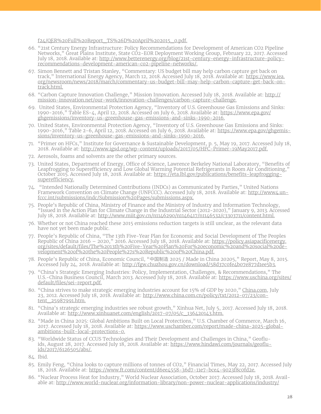[f24/QER%20Full%20Report\\_TS%26D%20April%202015\\_0.pdf.](https://www.energy.gov/sites/prod/files/2015/07/f24/QER%20Full%20Report_TS%26D%20April%202015_0.pdf.)

- 66. "21st Century Energy Infrastructure: Policy Recommendations for Development of American CO2 Pipeline Networks," Great Plains Institute, State CO2-EOR Deployment Working Group, February 22, 2017. Accessed July 18, 2018. Available at: [http://www.betterenergy.org/blog/21st-century-energy-infrastructure-policy](http://www.betterenergy.org/blog/21st-century-energy-infrastructure-policy-recommendations-development-american-co2-pipeline-networks/.)[recommendations-development-american-co2-pipeline-networks/.](http://www.betterenergy.org/blog/21st-century-energy-infrastructure-policy-recommendations-development-american-co2-pipeline-networks/.)
- 67. Simon Bennett and Tristan Stanley, "Commentary: US budget bill may help carbon capture get back on track," International Energy Agency, March 12, 2018. Accessed July 18, 2018. Available at: [https://www.iea.](https://www.iea.org/newsroom/news/2018/march/commentary-us-budget-bill-may-help-carbon-capture-get-back-on-track.html.) [org/newsroom/news/2018/march/commentary-us-budget-bill-may-help-carbon-capture-get-back-on](https://www.iea.org/newsroom/news/2018/march/commentary-us-budget-bill-may-help-carbon-capture-get-back-on-track.html.)[track.html.](https://www.iea.org/newsroom/news/2018/march/commentary-us-budget-bill-may-help-carbon-capture-get-back-on-track.html.)
- 68. "Carbon Capture Innovation Challenge," Mission Innovation. Accessed July 18, 2018. Available at: [http://](http://mission-innovation.net/our-work/innovation-challenges/carbon-capture-challenge.) [mission-innovation.net/our-work/innovation-challenges/carbon-capture-challenge.](http://mission-innovation.net/our-work/innovation-challenges/carbon-capture-challenge.)
- 69. United States, Environmental Protection Agency, "Inventory of U.S. Greenhouse Gas Emissions and Sinks: 1990-2016," Table ES-4, April 12, 2018. Accessed on July 6, 2018. Available at: [https://www.epa.gov/](https://www.epa.gov/ghgemissions/inventory-us-greenhouse-gas-emissions-and-sinks-1990-2016) [ghgemissions/inventory-us-greenhouse-gas-emissions-and-sinks-1990-2016.](https://www.epa.gov/ghgemissions/inventory-us-greenhouse-gas-emissions-and-sinks-1990-2016)
- 70. United States, Environmental Protection Agency, "Inventory of U.S. Greenhouse Gas Emissions and Sinks: 1990-2016," Table 2-6, April 12, 2018. Accessed on July 6, 2018. Available at: [https://www.epa.gov/ghgemis](https://www.epa.gov/ghgemissions/inventory-us-greenhouse-gas-emissions-and-sinks-1990-2016)[sions/inventory-us-greenhouse-gas-emissions-and-sinks-1990-2016.](https://www.epa.gov/ghgemissions/inventory-us-greenhouse-gas-emissions-and-sinks-1990-2016)
- 71. "Primer on HFCs," Institute for Governance & Sustainable Development, p. 5, May 19, 2017. Accessed July 18, 2018. Available at: [http://www.igsd.org/wp-content/uploads/2017/05/HFC-Primer-19May2017.pdf.](http://www.igsd.org/wp-content/uploads/2017/05/HFC-Primer-19May2017.pdf)
- 72. Aerosols, foams and solvents are the other primary sources.
- 73. United States, Department of Energy, Office of Science, Lawrence Berkeley National Laboratory, "Benefits of Leapfrogging to Superefficiency and Low Global Warming Potential Refrigerants in Room Air Conditioning," October 2015. Accessed July 18, 2018. Available at: [https://eta.lbl.gov/publications/benefits-leapfrogging](https://eta.lbl.gov/publications/benefits-leapfrogging-superefficiency.)[superefficiency.](https://eta.lbl.gov/publications/benefits-leapfrogging-superefficiency.)
- 74. "Intended Nationally Determined Contributions (INDCs) as Communicated by Parties," United Nations Framework Convention on Climate Change (UNFCCC). Accessed July 18, 2018. Available at: [http://www4.un](http://www4.unfccc.int/submissions/indc/Submission%20Pages/submissions.aspx.)[fccc.int/submissions/indc/Submission%20Pages/submissions.aspx.](http://www4.unfccc.int/submissions/indc/Submission%20Pages/submissions.aspx.)
- 75. People's Republic of China, Ministry of Finance and the Ministry of Industry and Information Technology, "Issued in the Action Plan for Climate Change in the Industrial Sector (2012-2020)," January 9, 2013. Accessed July 18, 2018. Available at:<http://www.miit.gov.cn/n1146290/n1146417/n1146532/c3303711/content.html.>
- 76. Whether or not China reached these 2015 emissions reduction targets is still unclear, as the relevant data have not yet been made public.
- 77. People's Republic of China, "The 13th Five-Year Plan for Economic and Social Development of The Peoples Republic of China 2016 – 2020," 2016. Accessed July 18, 2018. Available at: [https://policy.asiapacificenergy.](https://policy.asiapacificenergy.org/sites/default/files/The%2013th%20Five-Year%20Plan%20For%20economic%20and%20social%20development%20of%20the%20People%27s%20Republic%20of%20China.pdf) [org/sites/default/files/The%2013th%20Five-Year%20Plan%20For%20economic%20and%20social%20de](https://policy.asiapacificenergy.org/sites/default/files/The%2013th%20Five-Year%20Plan%20For%20economic%20and%20social%20development%20of%20the%20People%27s%20Republic%20of%20China.pdf)[velopment%20of%20the%20People%27s%20Republic%20of%20China.pdf.](https://policy.asiapacificenergy.org/sites/default/files/The%2013th%20Five-Year%20Plan%20For%20economic%20and%20social%20development%20of%20the%20People%27s%20Republic%20of%20China.pdf)
- 78. People's Republic of China, Economic Council, "中国制造 2025 / Made in China 20205," Report, May 8, 2015. Accessed July 24, 2018. Available at: <http://fgw.chuzhou.gov.cn/download/58d37c0fe4b07e877d1ee5b3.>
- 79. "China's Strategic Emerging Industries: Policy, Implementation, Challenges, & Recommendations," The U.S.-China Business Council, March 2013. Accessed July 18, 2018. Available at: [https://www.uschina.org/sites/](https://www.uschina.org/sites/default/files/sei-report.pdf) [default/files/sei-report.pdf.](https://www.uschina.org/sites/default/files/sei-report.pdf)
- 80. "China strives to make strategic emerging industries account for 15% of GDP by 2020," [China.com](http://China.com), July 23, 2012. Accessed July 18, 2018. Available at: [http://www.china.com.cn/policy/txt/2012-07/23/con](http://www.china.com.cn/policy/txt/2012-07/23/content_25987991.htm)[tent\\_25987991.htm.](http://www.china.com.cn/policy/txt/2012-07/23/content_25987991.htm)
- 81. "China's strategic emerging industries see robust growth," Xinhua Net, July 5, 2017. Accessed July 18, 2018. Available at: [http://www.xinhuanet.com/english/2017-07/05/c\\_136420143.htm.](http://www.xinhuanet.com/english/2017-07/05/c_136420143.htm)
- 82. "Made in China 2025: Global Ambitions Built on Local Protections," U.S. Chamber of Commerce, March 16, 2017. Accessed July 18, 2018. Available at: [https://www.uschamber.com/report/made-china-2025-global](https://www.uschamber.com/report/made-china-2025-global-ambitions-built-local-protections-0.)[ambitions-built-local-protections-0.](https://www.uschamber.com/report/made-china-2025-global-ambitions-built-local-protections-0.)
- 83. "Worldwide Status of CCUS Technologies and Their Development and Challenges in China," Geofluids, August 28, 2017. Accessed July 18, 2018. Available at: [https://www.hindawi.com/journals/geoflu](https://www.hindawi.com/journals/geofluids/2017/6126505/abs/)[ids/2017/6126505/abs/.](https://www.hindawi.com/journals/geofluids/2017/6126505/abs/)
- 84. Ibid.
- 85. Emily Feng, "China looks to capture millions of tonnes of CO2," Financial Times, May 22, 2017. Accessed July 18, 2018. Available at: <https://www.ft.com/content/d6ee4558-36d7-11e7-bce4-9023f8c0fd2e.>
- 86. "Nuclear Process Heat for Industry," World Nuclear Association, October 2017. Accessed July 18, 2018. Available at: [http://www.world-nuclear.org/information-library/non-power-nuclear-applications/industry/](http://www.world-nuclear.org/information-library/non-power-nuclear-applications/industry/nuclear-process-heat-for-industry.aspx)